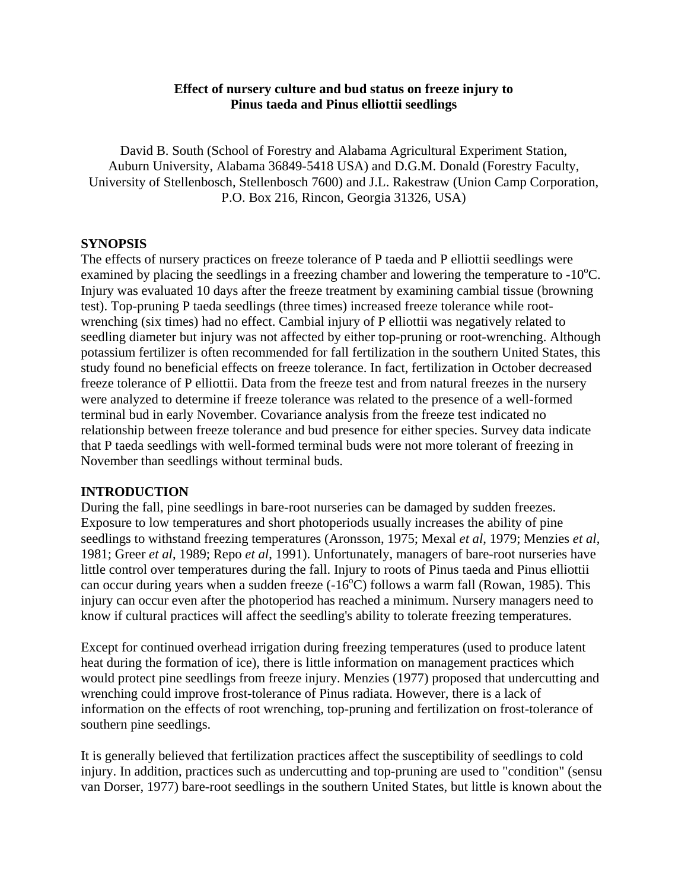# **Effect of nursery culture and bud status on freeze injury to Pinus taeda and Pinus elliottii seedlings**

David B. South (School of Forestry and Alabama Agricultural Experiment Station, Auburn University, Alabama 36849-5418 USA) and D.G.M. Donald (Forestry Faculty, University of Stellenbosch, Stellenbosch 7600) and J.L. Rakestraw (Union Camp Corporation, P.O. Box 216, Rincon, Georgia 31326, USA)

### **SYNOPSIS**

The effects of nursery practices on freeze tolerance of P taeda and P elliottii seedlings were examined by placing the seedlings in a freezing chamber and lowering the temperature to  $-10^{\circ}$ C. Injury was evaluated 10 days after the freeze treatment by examining cambial tissue (browning test). Top-pruning P taeda seedlings (three times) increased freeze tolerance while rootwrenching (six times) had no effect. Cambial injury of P elliottii was negatively related to seedling diameter but injury was not affected by either top-pruning or root-wrenching. Although potassium fertilizer is often recommended for fall fertilization in the southern United States, this study found no beneficial effects on freeze tolerance. In fact, fertilization in October decreased freeze tolerance of P elliottii. Data from the freeze test and from natural freezes in the nursery were analyzed to determine if freeze tolerance was related to the presence of a well-formed terminal bud in early November. Covariance analysis from the freeze test indicated no relationship between freeze tolerance and bud presence for either species. Survey data indicate that P taeda seedlings with well-formed terminal buds were not more tolerant of freezing in November than seedlings without terminal buds.

### **INTRODUCTION**

During the fall, pine seedlings in bare-root nurseries can be damaged by sudden freezes. Exposure to low temperatures and short photoperiods usually increases the ability of pine seedlings to withstand freezing temperatures (Aronsson, 1975; Mexal *et al*, 1979; Menzies *et al*, 1981; Greer *et al*, 1989; Repo *et al*, 1991). Unfortunately, managers of bare-root nurseries have little control over temperatures during the fall. Injury to roots of Pinus taeda and Pinus elliottii can occur during years when a sudden freeze  $(-16^{\circ}\text{C})$  follows a warm fall (Rowan, 1985). This injury can occur even after the photoperiod has reached a minimum. Nursery managers need to know if cultural practices will affect the seedling's ability to tolerate freezing temperatures.

Except for continued overhead irrigation during freezing temperatures (used to produce latent heat during the formation of ice), there is little information on management practices which would protect pine seedlings from freeze injury. Menzies (1977) proposed that undercutting and wrenching could improve frost-tolerance of Pinus radiata. However, there is a lack of information on the effects of root wrenching, top-pruning and fertilization on frost-tolerance of southern pine seedlings.

It is generally believed that fertilization practices affect the susceptibility of seedlings to cold injury. In addition, practices such as undercutting and top-pruning are used to "condition" (sensu van Dorser, 1977) bare-root seedlings in the southern United States, but little is known about the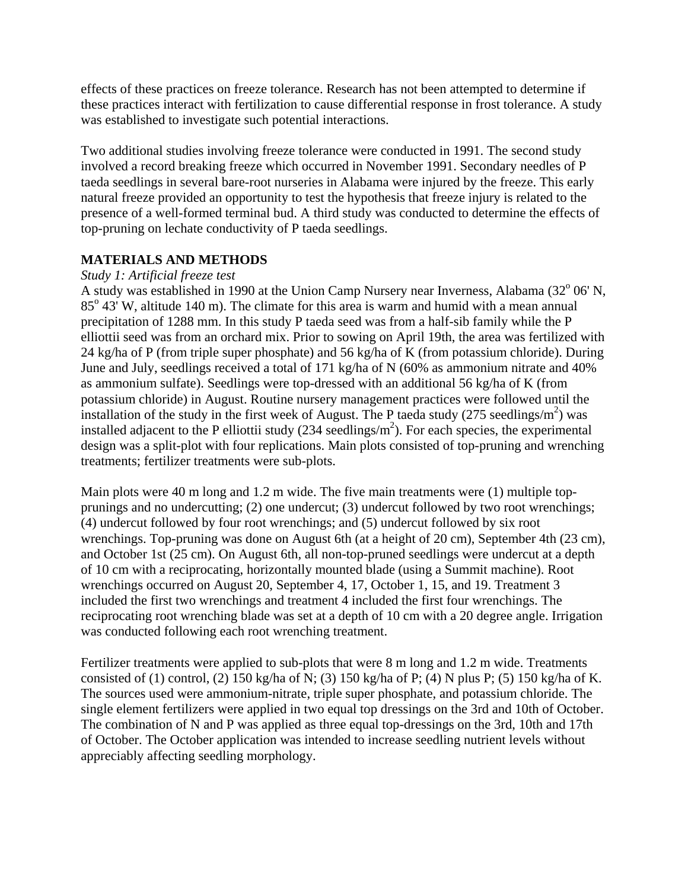effects of these practices on freeze tolerance. Research has not been attempted to determine if these practices interact with fertilization to cause differential response in frost tolerance. A study was established to investigate such potential interactions.

Two additional studies involving freeze tolerance were conducted in 1991. The second study involved a record breaking freeze which occurred in November 1991. Secondary needles of P taeda seedlings in several bare-root nurseries in Alabama were injured by the freeze. This early natural freeze provided an opportunity to test the hypothesis that freeze injury is related to the presence of a well-formed terminal bud. A third study was conducted to determine the effects of top-pruning on lechate conductivity of P taeda seedlings.

# **MATERIALS AND METHODS**

#### *Study 1: Artificial freeze test*

A study was established in 1990 at the Union Camp Nursery near Inverness, Alabama (32° 06' N,  $85^{\circ}$  43' W, altitude 140 m). The climate for this area is warm and humid with a mean annual precipitation of 1288 mm. In this study P taeda seed was from a half-sib family while the P elliottii seed was from an orchard mix. Prior to sowing on April 19th, the area was fertilized with 24 kg/ha of P (from triple super phosphate) and 56 kg/ha of K (from potassium chloride). During June and July, seedlings received a total of 171 kg/ha of N (60% as ammonium nitrate and 40% as ammonium sulfate). Seedlings were top-dressed with an additional 56 kg/ha of K (from potassium chloride) in August. Routine nursery management practices were followed until the installation of the study in the first week of August. The P taeda study  $(275 \text{ seedlings/m}^2)$  was installed adjacent to the P elliottii study  $(234 \text{ seedlings/m}^2)$ . For each species, the experimental design was a split-plot with four replications. Main plots consisted of top-pruning and wrenching treatments; fertilizer treatments were sub-plots.

Main plots were 40 m long and 1.2 m wide. The five main treatments were (1) multiple topprunings and no undercutting; (2) one undercut; (3) undercut followed by two root wrenchings; (4) undercut followed by four root wrenchings; and (5) undercut followed by six root wrenchings. Top-pruning was done on August 6th (at a height of 20 cm), September 4th (23 cm), and October 1st (25 cm). On August 6th, all non-top-pruned seedlings were undercut at a depth of 10 cm with a reciprocating, horizontally mounted blade (using a Summit machine). Root wrenchings occurred on August 20, September 4, 17, October 1, 15, and 19. Treatment 3 included the first two wrenchings and treatment 4 included the first four wrenchings. The reciprocating root wrenching blade was set at a depth of 10 cm with a 20 degree angle. Irrigation was conducted following each root wrenching treatment.

Fertilizer treatments were applied to sub-plots that were 8 m long and 1.2 m wide. Treatments consisted of (1) control, (2) 150 kg/ha of N; (3) 150 kg/ha of P; (4) N plus P; (5) 150 kg/ha of K. The sources used were ammonium-nitrate, triple super phosphate, and potassium chloride. The single element fertilizers were applied in two equal top dressings on the 3rd and 10th of October. The combination of N and P was applied as three equal top-dressings on the 3rd, 10th and 17th of October. The October application was intended to increase seedling nutrient levels without appreciably affecting seedling morphology.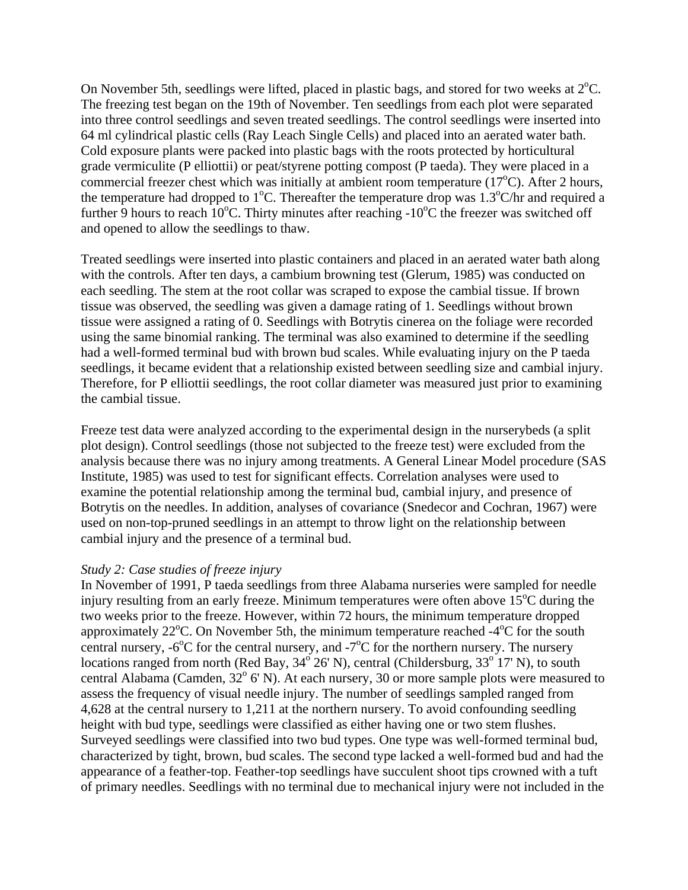On November 5th, seedlings were lifted, placed in plastic bags, and stored for two weeks at  $2^{\circ}C$ . The freezing test began on the 19th of November. Ten seedlings from each plot were separated into three control seedlings and seven treated seedlings. The control seedlings were inserted into 64 ml cylindrical plastic cells (Ray Leach Single Cells) and placed into an aerated water bath. Cold exposure plants were packed into plastic bags with the roots protected by horticultural grade vermiculite (P elliottii) or peat/styrene potting compost (P taeda). They were placed in a commercial freezer chest which was initially at ambient room temperature (17°C). After 2 hours, the temperature had dropped to  $1^{\circ}$ C. Thereafter the temperature drop was  $1.3^{\circ}$ C/hr and required a further 9 hours to reach  $10^{\circ}$ C. Thirty minutes after reaching -10 $^{\circ}$ C the freezer was switched off and opened to allow the seedlings to thaw.

Treated seedlings were inserted into plastic containers and placed in an aerated water bath along with the controls. After ten days, a cambium browning test (Glerum, 1985) was conducted on each seedling. The stem at the root collar was scraped to expose the cambial tissue. If brown tissue was observed, the seedling was given a damage rating of 1. Seedlings without brown tissue were assigned a rating of 0. Seedlings with Botrytis cinerea on the foliage were recorded using the same binomial ranking. The terminal was also examined to determine if the seedling had a well-formed terminal bud with brown bud scales. While evaluating injury on the P taeda seedlings, it became evident that a relationship existed between seedling size and cambial injury. Therefore, for P elliottii seedlings, the root collar diameter was measured just prior to examining the cambial tissue.

Freeze test data were analyzed according to the experimental design in the nurserybeds (a split plot design). Control seedlings (those not subjected to the freeze test) were excluded from the analysis because there was no injury among treatments. A General Linear Model procedure (SAS Institute, 1985) was used to test for significant effects. Correlation analyses were used to examine the potential relationship among the terminal bud, cambial injury, and presence of Botrytis on the needles. In addition, analyses of covariance (Snedecor and Cochran, 1967) were used on non-top-pruned seedlings in an attempt to throw light on the relationship between cambial injury and the presence of a terminal bud.

#### *Study 2: Case studies of freeze injury*

In November of 1991, P taeda seedlings from three Alabama nurseries were sampled for needle injury resulting from an early freeze. Minimum temperatures were often above  $15^{\circ}$ C during the two weeks prior to the freeze. However, within 72 hours, the minimum temperature dropped approximately  $22^{\circ}$ C. On November 5th, the minimum temperature reached  $-4^{\circ}$ C for the south central nursery,  $-6^{\circ}$ C for the central nursery, and  $-7^{\circ}$ C for the northern nursery. The nursery locations ranged from north (Red Bay,  $34^{\circ}$  26' N), central (Childersburg,  $33^{\circ}$  17' N), to south central Alabama (Camden,  $32^{\circ}$  6' N). At each nursery, 30 or more sample plots were measured to assess the frequency of visual needle injury. The number of seedlings sampled ranged from 4,628 at the central nursery to 1,211 at the northern nursery. To avoid confounding seedling height with bud type, seedlings were classified as either having one or two stem flushes. Surveyed seedlings were classified into two bud types. One type was well-formed terminal bud, characterized by tight, brown, bud scales. The second type lacked a well-formed bud and had the appearance of a feather-top. Feather-top seedlings have succulent shoot tips crowned with a tuft of primary needles. Seedlings with no terminal due to mechanical injury were not included in the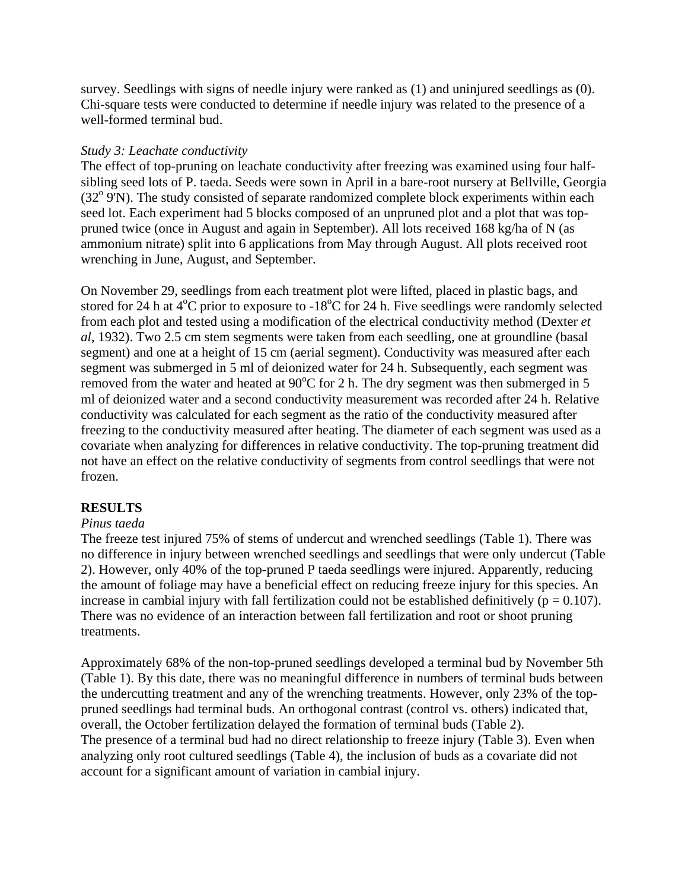survey. Seedlings with signs of needle injury were ranked as (1) and uninjured seedlings as (0). Chi-square tests were conducted to determine if needle injury was related to the presence of a well-formed terminal bud.

#### *Study 3: Leachate conductivity*

The effect of top-pruning on leachate conductivity after freezing was examined using four halfsibling seed lots of P. taeda. Seeds were sown in April in a bare-root nursery at Bellville, Georgia (32<sup>o</sup> 9'N). The study consisted of separate randomized complete block experiments within each seed lot. Each experiment had 5 blocks composed of an unpruned plot and a plot that was toppruned twice (once in August and again in September). All lots received 168 kg/ha of N (as ammonium nitrate) split into 6 applications from May through August. All plots received root wrenching in June, August, and September.

On November 29, seedlings from each treatment plot were lifted, placed in plastic bags, and stored for 24 h at  $4^{\circ}$ C prior to exposure to -18 $^{\circ}$ C for 24 h. Five seedlings were randomly selected from each plot and tested using a modification of the electrical conductivity method (Dexter *et al*, 1932). Two 2.5 cm stem segments were taken from each seedling, one at groundline (basal segment) and one at a height of 15 cm (aerial segment). Conductivity was measured after each segment was submerged in 5 ml of deionized water for 24 h. Subsequently, each segment was removed from the water and heated at  $90^{\circ}$ C for 2 h. The dry segment was then submerged in 5 ml of deionized water and a second conductivity measurement was recorded after 24 h. Relative conductivity was calculated for each segment as the ratio of the conductivity measured after freezing to the conductivity measured after heating. The diameter of each segment was used as a covariate when analyzing for differences in relative conductivity. The top-pruning treatment did not have an effect on the relative conductivity of segments from control seedlings that were not frozen.

### **RESULTS**

### *Pinus taeda*

The freeze test injured 75% of stems of undercut and wrenched seedlings (Table 1). There was no difference in injury between wrenched seedlings and seedlings that were only undercut (Table 2). However, only 40% of the top-pruned P taeda seedlings were injured. Apparently, reducing the amount of foliage may have a beneficial effect on reducing freeze injury for this species. An increase in cambial injury with fall fertilization could not be established definitively ( $p = 0.107$ ). There was no evidence of an interaction between fall fertilization and root or shoot pruning treatments.

Approximately 68% of the non-top-pruned seedlings developed a terminal bud by November 5th (Table 1). By this date, there was no meaningful difference in numbers of terminal buds between the undercutting treatment and any of the wrenching treatments. However, only 23% of the toppruned seedlings had terminal buds. An orthogonal contrast (control vs. others) indicated that, overall, the October fertilization delayed the formation of terminal buds (Table 2). The presence of a terminal bud had no direct relationship to freeze injury (Table 3). Even when analyzing only root cultured seedlings (Table 4), the inclusion of buds as a covariate did not account for a significant amount of variation in cambial injury.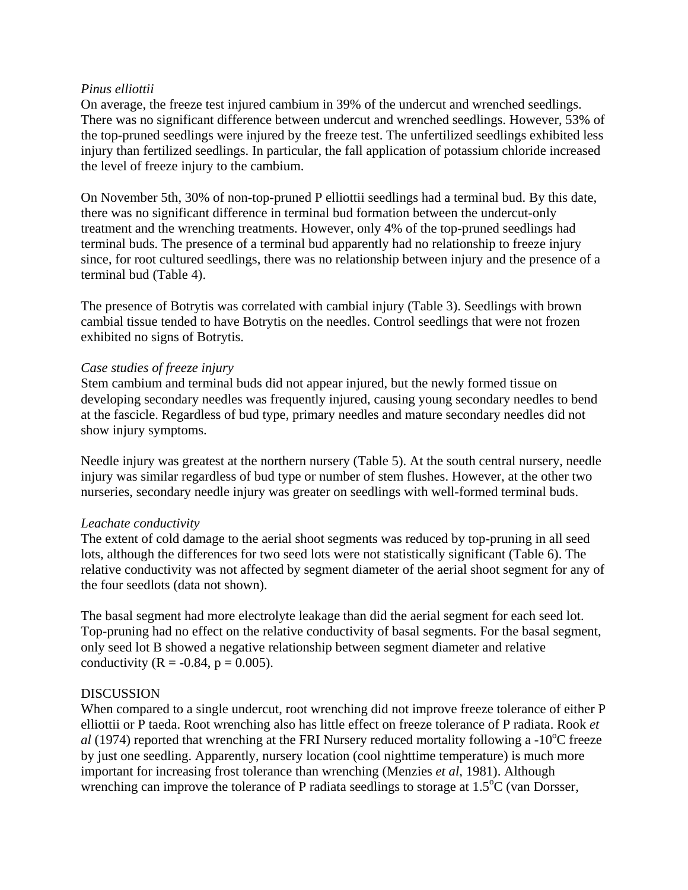### *Pinus elliottii*

On average, the freeze test injured cambium in 39% of the undercut and wrenched seedlings. There was no significant difference between undercut and wrenched seedlings. However, 53% of the top-pruned seedlings were injured by the freeze test. The unfertilized seedlings exhibited less injury than fertilized seedlings. In particular, the fall application of potassium chloride increased the level of freeze injury to the cambium.

On November 5th, 30% of non-top-pruned P elliottii seedlings had a terminal bud. By this date, there was no significant difference in terminal bud formation between the undercut-only treatment and the wrenching treatments. However, only 4% of the top-pruned seedlings had terminal buds. The presence of a terminal bud apparently had no relationship to freeze injury since, for root cultured seedlings, there was no relationship between injury and the presence of a terminal bud (Table 4).

The presence of Botrytis was correlated with cambial injury (Table 3). Seedlings with brown cambial tissue tended to have Botrytis on the needles. Control seedlings that were not frozen exhibited no signs of Botrytis.

### *Case studies of freeze injury*

Stem cambium and terminal buds did not appear injured, but the newly formed tissue on developing secondary needles was frequently injured, causing young secondary needles to bend at the fascicle. Regardless of bud type, primary needles and mature secondary needles did not show injury symptoms.

Needle injury was greatest at the northern nursery (Table 5). At the south central nursery, needle injury was similar regardless of bud type or number of stem flushes. However, at the other two nurseries, secondary needle injury was greater on seedlings with well-formed terminal buds.

### *Leachate conductivity*

The extent of cold damage to the aerial shoot segments was reduced by top-pruning in all seed lots, although the differences for two seed lots were not statistically significant (Table 6). The relative conductivity was not affected by segment diameter of the aerial shoot segment for any of the four seedlots (data not shown).

The basal segment had more electrolyte leakage than did the aerial segment for each seed lot. Top-pruning had no effect on the relative conductivity of basal segments. For the basal segment, only seed lot B showed a negative relationship between segment diameter and relative conductivity ( $R = -0.84$ ,  $p = 0.005$ ).

### DISCUSSION

When compared to a single undercut, root wrenching did not improve freeze tolerance of either P elliottii or P taeda. Root wrenching also has little effect on freeze tolerance of P radiata. Rook *et*  al (1974) reported that wrenching at the FRI Nursery reduced mortality following a -10<sup>o</sup>C freeze by just one seedling. Apparently, nursery location (cool nighttime temperature) is much more important for increasing frost tolerance than wrenching (Menzies *et al*, 1981). Although wrenching can improve the tolerance of P radiata seedlings to storage at 1.5°C (van Dorsser,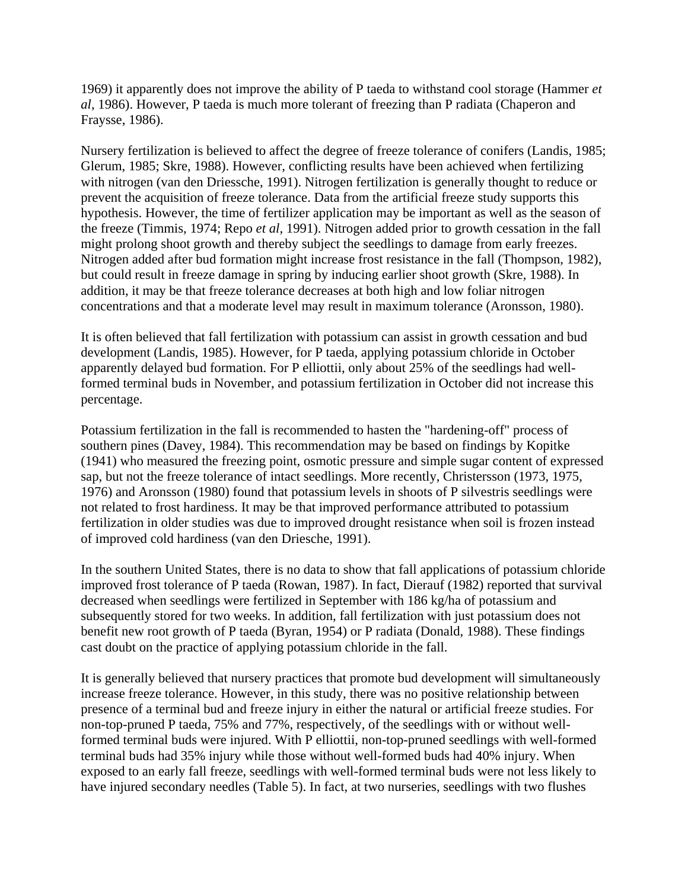1969) it apparently does not improve the ability of P taeda to withstand cool storage (Hammer *et al*, 1986). However, P taeda is much more tolerant of freezing than P radiata (Chaperon and Fraysse, 1986).

Nursery fertilization is believed to affect the degree of freeze tolerance of conifers (Landis, 1985; Glerum, 1985; Skre, 1988). However, conflicting results have been achieved when fertilizing with nitrogen (van den Driessche, 1991). Nitrogen fertilization is generally thought to reduce or prevent the acquisition of freeze tolerance. Data from the artificial freeze study supports this hypothesis. However, the time of fertilizer application may be important as well as the season of the freeze (Timmis, 1974; Repo *et al*, 1991). Nitrogen added prior to growth cessation in the fall might prolong shoot growth and thereby subject the seedlings to damage from early freezes. Nitrogen added after bud formation might increase frost resistance in the fall (Thompson, 1982), but could result in freeze damage in spring by inducing earlier shoot growth (Skre, 1988). In addition, it may be that freeze tolerance decreases at both high and low foliar nitrogen concentrations and that a moderate level may result in maximum tolerance (Aronsson, 1980).

It is often believed that fall fertilization with potassium can assist in growth cessation and bud development (Landis, 1985). However, for P taeda, applying potassium chloride in October apparently delayed bud formation. For P elliottii, only about 25% of the seedlings had wellformed terminal buds in November, and potassium fertilization in October did not increase this percentage.

Potassium fertilization in the fall is recommended to hasten the "hardening-off" process of southern pines (Davey, 1984). This recommendation may be based on findings by Kopitke (1941) who measured the freezing point, osmotic pressure and simple sugar content of expressed sap, but not the freeze tolerance of intact seedlings. More recently, Christersson (1973, 1975, 1976) and Aronsson (1980) found that potassium levels in shoots of P silvestris seedlings were not related to frost hardiness. It may be that improved performance attributed to potassium fertilization in older studies was due to improved drought resistance when soil is frozen instead of improved cold hardiness (van den Driesche, 1991).

In the southern United States, there is no data to show that fall applications of potassium chloride improved frost tolerance of P taeda (Rowan, 1987). In fact, Dierauf (1982) reported that survival decreased when seedlings were fertilized in September with 186 kg/ha of potassium and subsequently stored for two weeks. In addition, fall fertilization with just potassium does not benefit new root growth of P taeda (Byran, 1954) or P radiata (Donald, 1988). These findings cast doubt on the practice of applying potassium chloride in the fall.

It is generally believed that nursery practices that promote bud development will simultaneously increase freeze tolerance. However, in this study, there was no positive relationship between presence of a terminal bud and freeze injury in either the natural or artificial freeze studies. For non-top-pruned P taeda, 75% and 77%, respectively, of the seedlings with or without wellformed terminal buds were injured. With P elliottii, non-top-pruned seedlings with well-formed terminal buds had 35% injury while those without well-formed buds had 40% injury. When exposed to an early fall freeze, seedlings with well-formed terminal buds were not less likely to have injured secondary needles (Table 5). In fact, at two nurseries, seedlings with two flushes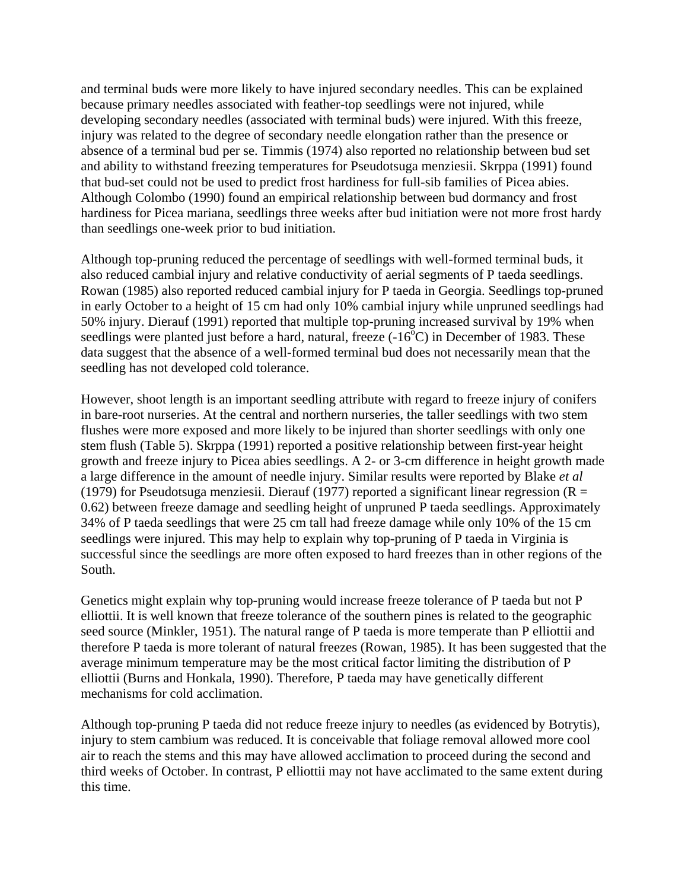and terminal buds were more likely to have injured secondary needles. This can be explained because primary needles associated with feather-top seedlings were not injured, while developing secondary needles (associated with terminal buds) were injured. With this freeze, injury was related to the degree of secondary needle elongation rather than the presence or absence of a terminal bud per se. Timmis (1974) also reported no relationship between bud set and ability to withstand freezing temperatures for Pseudotsuga menziesii. Skrppa (1991) found that bud-set could not be used to predict frost hardiness for full-sib families of Picea abies. Although Colombo (1990) found an empirical relationship between bud dormancy and frost hardiness for Picea mariana, seedlings three weeks after bud initiation were not more frost hardy than seedlings one-week prior to bud initiation.

Although top-pruning reduced the percentage of seedlings with well-formed terminal buds, it also reduced cambial injury and relative conductivity of aerial segments of P taeda seedlings. Rowan (1985) also reported reduced cambial injury for P taeda in Georgia. Seedlings top-pruned in early October to a height of 15 cm had only 10% cambial injury while unpruned seedlings had 50% injury. Dierauf (1991) reported that multiple top-pruning increased survival by 19% when seedlings were planted just before a hard, natural, freeze  $(-16^{\circ}C)$  in December of 1983. These data suggest that the absence of a well-formed terminal bud does not necessarily mean that the seedling has not developed cold tolerance.

However, shoot length is an important seedling attribute with regard to freeze injury of conifers in bare-root nurseries. At the central and northern nurseries, the taller seedlings with two stem flushes were more exposed and more likely to be injured than shorter seedlings with only one stem flush (Table 5). Skrppa (1991) reported a positive relationship between first-year height growth and freeze injury to Picea abies seedlings. A 2- or 3-cm difference in height growth made a large difference in the amount of needle injury. Similar results were reported by Blake *et al* (1979) for Pseudotsuga menziesii. Dierauf (1977) reported a significant linear regression ( $R =$ 0.62) between freeze damage and seedling height of unpruned P taeda seedlings. Approximately 34% of P taeda seedlings that were 25 cm tall had freeze damage while only 10% of the 15 cm seedlings were injured. This may help to explain why top-pruning of P taeda in Virginia is successful since the seedlings are more often exposed to hard freezes than in other regions of the South.

Genetics might explain why top-pruning would increase freeze tolerance of P taeda but not P elliottii. It is well known that freeze tolerance of the southern pines is related to the geographic seed source (Minkler, 1951). The natural range of P taeda is more temperate than P elliottii and therefore P taeda is more tolerant of natural freezes (Rowan, 1985). It has been suggested that the average minimum temperature may be the most critical factor limiting the distribution of P elliottii (Burns and Honkala, 1990). Therefore, P taeda may have genetically different mechanisms for cold acclimation.

Although top-pruning P taeda did not reduce freeze injury to needles (as evidenced by Botrytis), injury to stem cambium was reduced. It is conceivable that foliage removal allowed more cool air to reach the stems and this may have allowed acclimation to proceed during the second and third weeks of October. In contrast, P elliottii may not have acclimated to the same extent during this time.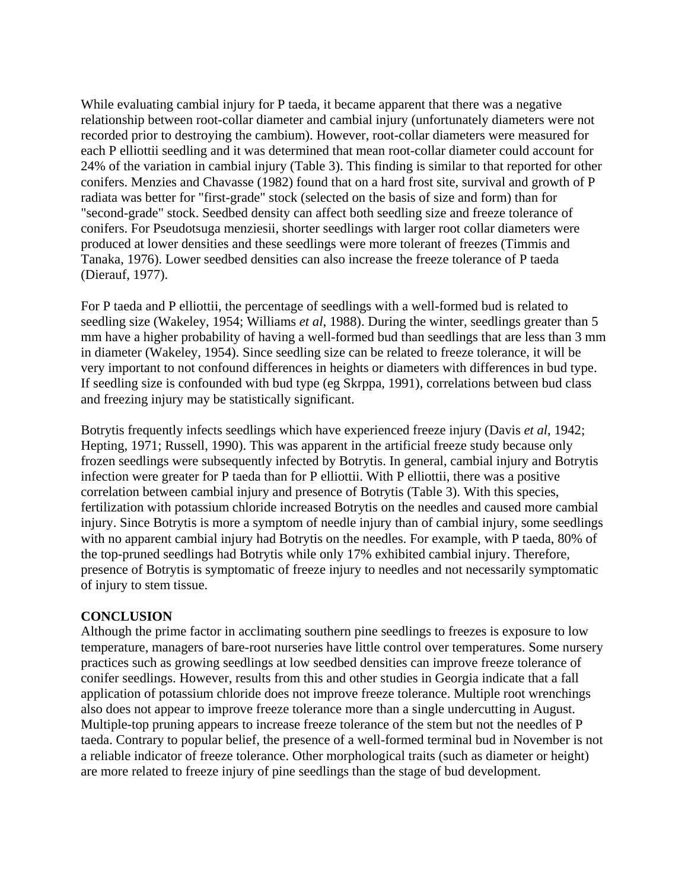While evaluating cambial injury for P taeda, it became apparent that there was a negative relationship between root-collar diameter and cambial injury (unfortunately diameters were not recorded prior to destroying the cambium). However, root-collar diameters were measured for each P elliottii seedling and it was determined that mean root-collar diameter could account for 24% of the variation in cambial injury (Table 3). This finding is similar to that reported for other conifers. Menzies and Chavasse (1982) found that on a hard frost site, survival and growth of P radiata was better for "first-grade" stock (selected on the basis of size and form) than for "second-grade" stock. Seedbed density can affect both seedling size and freeze tolerance of conifers. For Pseudotsuga menziesii, shorter seedlings with larger root collar diameters were produced at lower densities and these seedlings were more tolerant of freezes (Timmis and Tanaka, 1976). Lower seedbed densities can also increase the freeze tolerance of P taeda (Dierauf, 1977).

For P taeda and P elliottii, the percentage of seedlings with a well-formed bud is related to seedling size (Wakeley, 1954; Williams *et al*, 1988). During the winter, seedlings greater than 5 mm have a higher probability of having a well-formed bud than seedlings that are less than 3 mm in diameter (Wakeley, 1954). Since seedling size can be related to freeze tolerance, it will be very important to not confound differences in heights or diameters with differences in bud type. If seedling size is confounded with bud type (eg Skrppa, 1991), correlations between bud class and freezing injury may be statistically significant.

Botrytis frequently infects seedlings which have experienced freeze injury (Davis *et al*, 1942; Hepting, 1971; Russell, 1990). This was apparent in the artificial freeze study because only frozen seedlings were subsequently infected by Botrytis. In general, cambial injury and Botrytis infection were greater for P taeda than for P elliottii. With P elliottii, there was a positive correlation between cambial injury and presence of Botrytis (Table 3). With this species, fertilization with potassium chloride increased Botrytis on the needles and caused more cambial injury. Since Botrytis is more a symptom of needle injury than of cambial injury, some seedlings with no apparent cambial injury had Botrytis on the needles. For example, with P taeda, 80% of the top-pruned seedlings had Botrytis while only 17% exhibited cambial injury. Therefore, presence of Botrytis is symptomatic of freeze injury to needles and not necessarily symptomatic of injury to stem tissue.

### **CONCLUSION**

Although the prime factor in acclimating southern pine seedlings to freezes is exposure to low temperature, managers of bare-root nurseries have little control over temperatures. Some nursery practices such as growing seedlings at low seedbed densities can improve freeze tolerance of conifer seedlings. However, results from this and other studies in Georgia indicate that a fall application of potassium chloride does not improve freeze tolerance. Multiple root wrenchings also does not appear to improve freeze tolerance more than a single undercutting in August. Multiple-top pruning appears to increase freeze tolerance of the stem but not the needles of P taeda. Contrary to popular belief, the presence of a well-formed terminal bud in November is not a reliable indicator of freeze tolerance. Other morphological traits (such as diameter or height) are more related to freeze injury of pine seedlings than the stage of bud development.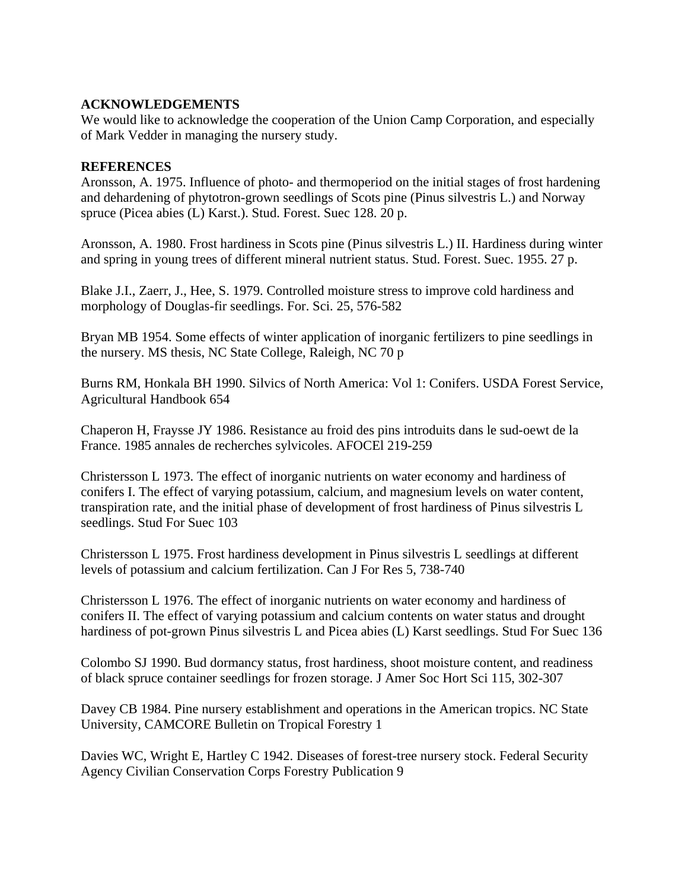# **ACKNOWLEDGEMENTS**

We would like to acknowledge the cooperation of the Union Camp Corporation, and especially of Mark Vedder in managing the nursery study.

# **REFERENCES**

Aronsson, A. 1975. Influence of photo- and thermoperiod on the initial stages of frost hardening and dehardening of phytotron-grown seedlings of Scots pine (Pinus silvestris L.) and Norway spruce (Picea abies (L) Karst.). Stud. Forest. Suec 128. 20 p.

Aronsson, A. 1980. Frost hardiness in Scots pine (Pinus silvestris L.) II. Hardiness during winter and spring in young trees of different mineral nutrient status. Stud. Forest. Suec. 1955. 27 p.

Blake J.I., Zaerr, J., Hee, S. 1979. Controlled moisture stress to improve cold hardiness and morphology of Douglas-fir seedlings. For. Sci. 25, 576-582

Bryan MB 1954. Some effects of winter application of inorganic fertilizers to pine seedlings in the nursery. MS thesis, NC State College, Raleigh, NC 70 p

Burns RM, Honkala BH 1990. Silvics of North America: Vol 1: Conifers. USDA Forest Service, Agricultural Handbook 654

Chaperon H, Fraysse JY 1986. Resistance au froid des pins introduits dans le sud-oewt de la France. 1985 annales de recherches sylvicoles. AFOCEl 219-259

Christersson L 1973. The effect of inorganic nutrients on water economy and hardiness of conifers I. The effect of varying potassium, calcium, and magnesium levels on water content, transpiration rate, and the initial phase of development of frost hardiness of Pinus silvestris L seedlings. Stud For Suec 103

Christersson L 1975. Frost hardiness development in Pinus silvestris L seedlings at different levels of potassium and calcium fertilization. Can J For Res 5, 738-740

Christersson L 1976. The effect of inorganic nutrients on water economy and hardiness of conifers II. The effect of varying potassium and calcium contents on water status and drought hardiness of pot-grown Pinus silvestris L and Picea abies (L) Karst seedlings. Stud For Suec 136

Colombo SJ 1990. Bud dormancy status, frost hardiness, shoot moisture content, and readiness of black spruce container seedlings for frozen storage. J Amer Soc Hort Sci 115, 302-307

Davey CB 1984. Pine nursery establishment and operations in the American tropics. NC State University, CAMCORE Bulletin on Tropical Forestry 1

Davies WC, Wright E, Hartley C 1942. Diseases of forest-tree nursery stock. Federal Security Agency Civilian Conservation Corps Forestry Publication 9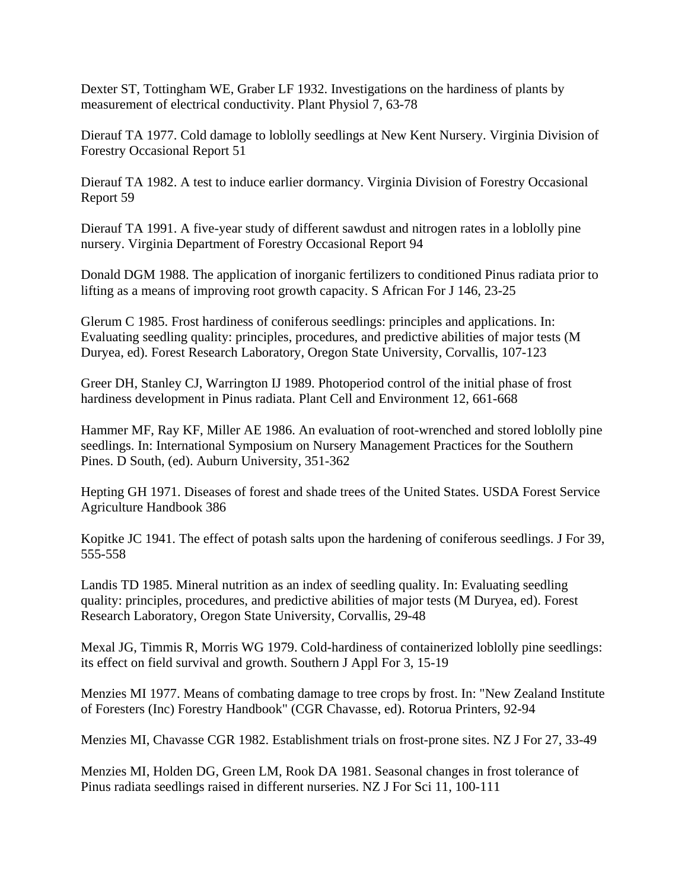Dexter ST, Tottingham WE, Graber LF 1932. Investigations on the hardiness of plants by measurement of electrical conductivity. Plant Physiol 7, 63-78

Dierauf TA 1977. Cold damage to loblolly seedlings at New Kent Nursery. Virginia Division of Forestry Occasional Report 51

Dierauf TA 1982. A test to induce earlier dormancy. Virginia Division of Forestry Occasional Report 59

Dierauf TA 1991. A five-year study of different sawdust and nitrogen rates in a loblolly pine nursery. Virginia Department of Forestry Occasional Report 94

Donald DGM 1988. The application of inorganic fertilizers to conditioned Pinus radiata prior to lifting as a means of improving root growth capacity. S African For J 146, 23-25

Glerum C 1985. Frost hardiness of coniferous seedlings: principles and applications. In: Evaluating seedling quality: principles, procedures, and predictive abilities of major tests (M Duryea, ed). Forest Research Laboratory, Oregon State University, Corvallis, 107-123

Greer DH, Stanley CJ, Warrington IJ 1989. Photoperiod control of the initial phase of frost hardiness development in Pinus radiata. Plant Cell and Environment 12, 661-668

Hammer MF, Ray KF, Miller AE 1986. An evaluation of root-wrenched and stored loblolly pine seedlings. In: International Symposium on Nursery Management Practices for the Southern Pines. D South, (ed). Auburn University, 351-362

Hepting GH 1971. Diseases of forest and shade trees of the United States. USDA Forest Service Agriculture Handbook 386

Kopitke JC 1941. The effect of potash salts upon the hardening of coniferous seedlings. J For 39, 555-558

Landis TD 1985. Mineral nutrition as an index of seedling quality. In: Evaluating seedling quality: principles, procedures, and predictive abilities of major tests (M Duryea, ed). Forest Research Laboratory, Oregon State University, Corvallis, 29-48

Mexal JG, Timmis R, Morris WG 1979. Cold-hardiness of containerized loblolly pine seedlings: its effect on field survival and growth. Southern J Appl For 3, 15-19

Menzies MI 1977. Means of combating damage to tree crops by frost. In: "New Zealand Institute of Foresters (Inc) Forestry Handbook" (CGR Chavasse, ed). Rotorua Printers, 92-94

Menzies MI, Chavasse CGR 1982. Establishment trials on frost-prone sites. NZ J For 27, 33-49

Menzies MI, Holden DG, Green LM, Rook DA 1981. Seasonal changes in frost tolerance of Pinus radiata seedlings raised in different nurseries. NZ J For Sci 11, 100-111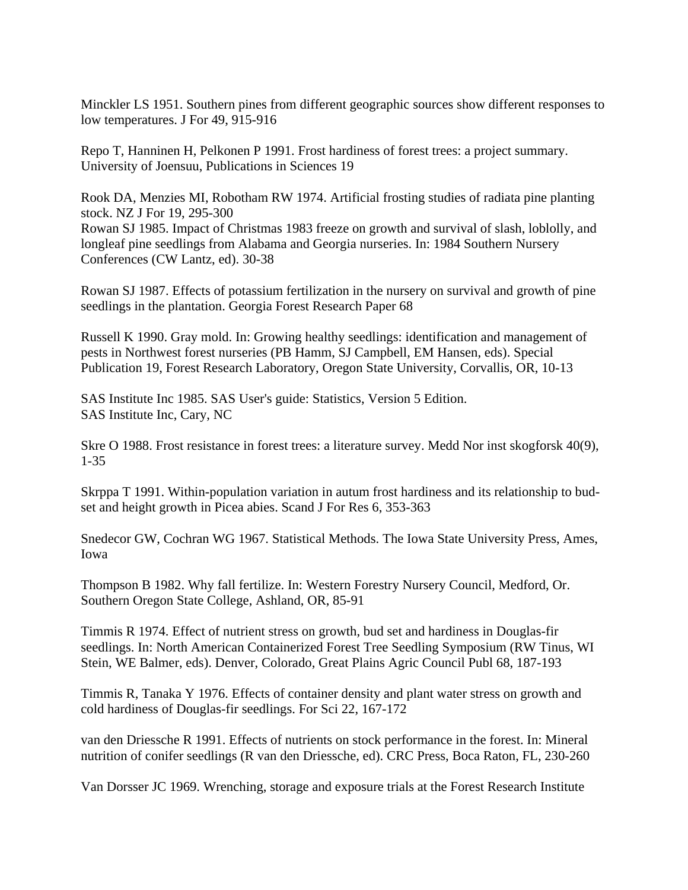Minckler LS 1951. Southern pines from different geographic sources show different responses to low temperatures. J For 49, 915-916

Repo T, Hanninen H, Pelkonen P 1991. Frost hardiness of forest trees: a project summary. University of Joensuu, Publications in Sciences 19

Rook DA, Menzies MI, Robotham RW 1974. Artificial frosting studies of radiata pine planting stock. NZ J For 19, 295-300 Rowan SJ 1985. Impact of Christmas 1983 freeze on growth and survival of slash, loblolly, and longleaf pine seedlings from Alabama and Georgia nurseries. In: 1984 Southern Nursery Conferences (CW Lantz, ed). 30-38

Rowan SJ 1987. Effects of potassium fertilization in the nursery on survival and growth of pine seedlings in the plantation. Georgia Forest Research Paper 68

Russell K 1990. Gray mold. In: Growing healthy seedlings: identification and management of pests in Northwest forest nurseries (PB Hamm, SJ Campbell, EM Hansen, eds). Special Publication 19, Forest Research Laboratory, Oregon State University, Corvallis, OR, 10-13

SAS Institute Inc 1985. SAS User's guide: Statistics, Version 5 Edition. SAS Institute Inc, Cary, NC

Skre O 1988. Frost resistance in forest trees: a literature survey. Medd Nor inst skogforsk 40(9), 1-35

Skrppa T 1991. Within-population variation in autum frost hardiness and its relationship to budset and height growth in Picea abies. Scand J For Res 6, 353-363

Snedecor GW, Cochran WG 1967. Statistical Methods. The Iowa State University Press, Ames, Iowa

Thompson B 1982. Why fall fertilize. In: Western Forestry Nursery Council, Medford, Or. Southern Oregon State College, Ashland, OR, 85-91

Timmis R 1974. Effect of nutrient stress on growth, bud set and hardiness in Douglas-fir seedlings. In: North American Containerized Forest Tree Seedling Symposium (RW Tinus, WI Stein, WE Balmer, eds). Denver, Colorado, Great Plains Agric Council Publ 68, 187-193

Timmis R, Tanaka Y 1976. Effects of container density and plant water stress on growth and cold hardiness of Douglas-fir seedlings. For Sci 22, 167-172

van den Driessche R 1991. Effects of nutrients on stock performance in the forest. In: Mineral nutrition of conifer seedlings (R van den Driessche, ed). CRC Press, Boca Raton, FL, 230-260

Van Dorsser JC 1969. Wrenching, storage and exposure trials at the Forest Research Institute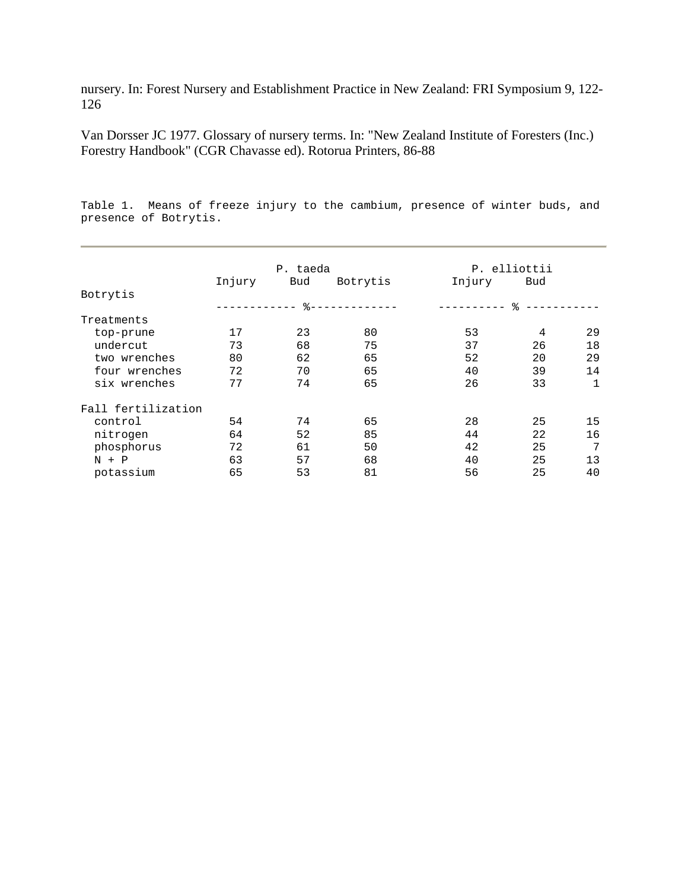nursery. In: Forest Nursery and Establishment Practice in New Zealand: FRI Symposium 9, 122- 126

Van Dorsser JC 1977. Glossary of nursery terms. In: "New Zealand Institute of Foresters (Inc.) Forestry Handbook" (CGR Chavasse ed). Rotorua Printers, 86-88

Table 1. Means of freeze injury to the cambium, presence of winter buds, and presence of Botrytis.

|                    | P. taeda    |        |            | P. elliottii |     |    |  |
|--------------------|-------------|--------|------------|--------------|-----|----|--|
|                    | Injury      | Bud    | Botrytis   | Injury       | Bud |    |  |
| Botrytis           |             |        |            |              |     |    |  |
|                    | ----------- | $-8 -$ | ---------- | ----------   | ৡ   |    |  |
| Treatments         |             |        |            |              |     |    |  |
| top-prune          | 17          | 23     | 80         | 53           | 4   | 29 |  |
| undercut           | 73          | 68     | 75         | 37           | 26  | 18 |  |
| two wrenches       | 80          | 62     | 65         | 52           | 20  | 29 |  |
| four wrenches      | 72          | 70     | 65         | 40           | 39  | 14 |  |
| six wrenches       | 77          | 74     | 65         | 26           | 33  | 1  |  |
| Fall fertilization |             |        |            |              |     |    |  |
| control            | 54          | 74     | 65         | 28           | 25  | 15 |  |
| nitrogen           | 64          | 52     | 85         | 44           | 22  | 16 |  |
| phosphorus         | 72          | 61     | 50         | 42           | 25  | 7  |  |
| $N + P$            | 63          | 57     | 68         | 40           | 25  | 13 |  |
| potassium          | 65          | 53     | 81         | 56           | 25  | 40 |  |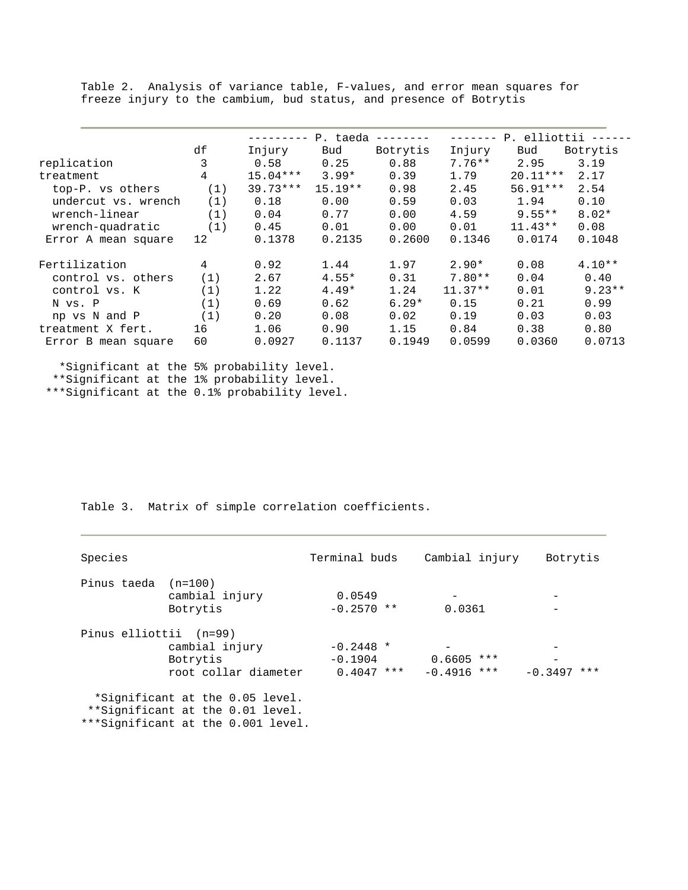Table 2. Analysis of variance table, F-values, and error mean squares for freeze injury to the cambium, bud status, and presence of Botrytis

|                     |     |            | P. taeda  |          |           | P. elliottii |          |
|---------------------|-----|------------|-----------|----------|-----------|--------------|----------|
|                     | df  | Injury     | Bud       | Botrytis | Injury    | Bud          | Botrytis |
| replication         | 3   | 0.58       | 0.25      | 0.88     | $7.76**$  | 2.95         | 3.19     |
| treatment           | 4   | $15.04***$ | $3.99*$   | 0.39     | 1.79      | $20.11***$   | 2.17     |
| top-P. vs others    | (1) | $39.73***$ | $15.19**$ | 0.98     | 2.45      | $56.91***$   | 2.54     |
| undercut vs. wrench | (1) | 0.18       | 0.00      | 0.59     | 0.03      | 1.94         | 0.10     |
| wrench-linear       | (1) | 0.04       | 0.77      | 0.00     | 4.59      | $9.55**$     | $8.02*$  |
| wrench-quadratic    | (1) | 0.45       | 0.01      | 0.00     | 0.01      | $11.43**$    | 0.08     |
| Error A mean square | 12  | 0.1378     | 0.2135    | 0.2600   | 0.1346    | 0.0174       | 0.1048   |
| Fertilization       | 4   | 0.92       | 1.44      | 1.97     | $2.90*$   | 0.08         | $4.10**$ |
| control vs. others  | (1) | 2.67       | $4.55*$   | 0.31     | $7.80**$  | 0.04         | 0.40     |
| control vs. K       | (1) | 1.22       | $4.49*$   | 1.24     | $11.37**$ | 0.01         | $9.23**$ |
| N vs. P             | (1) | 0.69       | 0.62      | $6.29*$  | 0.15      | 0.21         | 0.99     |
| np vs N and P       | (1) | 0.20       | 0.08      | 0.02     | 0.19      | 0.03         | 0.03     |
| treatment X fert.   | 16  | 1.06       | 0.90      | 1.15     | 0.84      | 0.38         | 0.80     |
| Error B mean square | 60  | 0.0927     | 0.1137    | 0.1949   | 0.0599    | 0.0360       | 0.0713   |

 \*Significant at the 5% probability level. \*\*Significant at the 1% probability level. \*\*\*Significant at the 0.1% probability level.

Table 3. Matrix of simple correlation coefficients.

| Species                |                                                                                                           | Terminal buds                            | Cambial injury                                     | Botrytis      |
|------------------------|-----------------------------------------------------------------------------------------------------------|------------------------------------------|----------------------------------------------------|---------------|
| Pinus taeda (n=100)    | cambial injury<br>Botrytis                                                                                | 0.0549<br>$-0.2570$ **                   | 0.0361                                             |               |
| Pinus elliottii (n=99) | cambial injury<br>Botrytis<br>root collar diameter                                                        | $-0.2448$ *<br>$-0.1904$<br>$0.4047$ *** | $\qquad \qquad -$<br>$0.6605$ ***<br>$-0.4916$ *** | $-0.3497$ *** |
|                        | *Significant at the 0.05 level.<br>**Significant at the 0.01 level.<br>***Significant at the 0.001 level. |                                          |                                                    |               |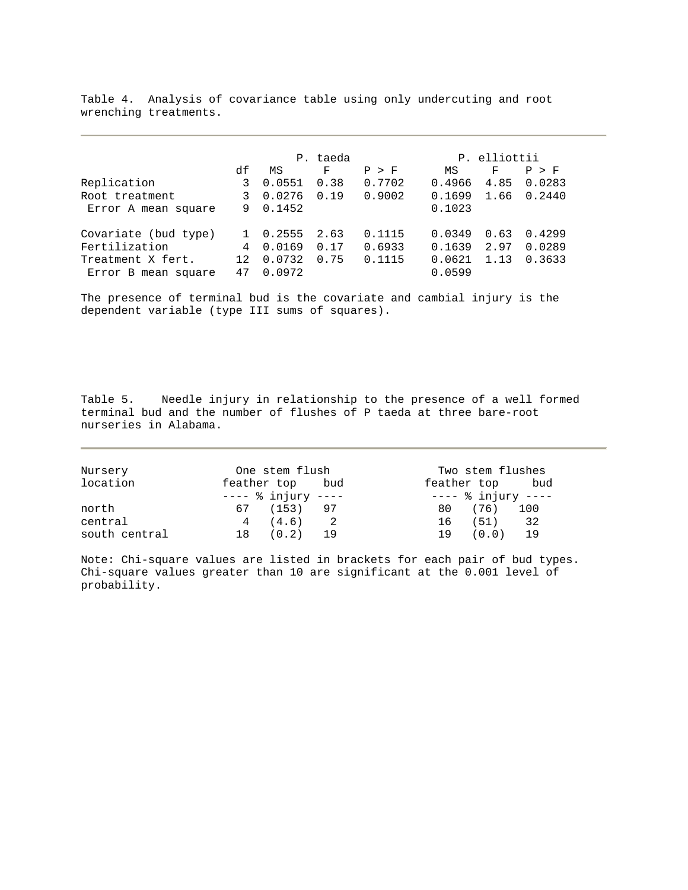Table 4. Analysis of covariance table using only undercuting and root wrenching treatments.

|                      | P. taeda |        |      |        | P. elliottii |      |        |
|----------------------|----------|--------|------|--------|--------------|------|--------|
|                      | df       | ΜS     | F    | P > F  | ΜS           | F    | P > F  |
| Replication          | 3        | 0.0551 | 0.38 | 0.7702 | 0.4966       | 4.85 | 0.0283 |
| Root treatment       |          | 0.0276 | 0.19 | 0.9002 | 0.1699       | 1.66 | 0.2440 |
| Error A mean square  | 9        | 0.1452 |      |        | 0.1023       |      |        |
| Covariate (bud type) |          | 0.2555 | 2.63 | 0.1115 | 0.0349       | 0.63 | 0.4299 |
| Fertilization        | 4        | 0.0169 | 0.17 | 0.6933 | 0.1639       | 2.97 | 0.0289 |
| Treatment X fert.    | 12       | 0.0732 | 0.75 | 0.1115 | 0.0621       | 1.13 | 0.3633 |
| Error B mean square  | 47       | 0.0972 |      |        | 0.0599       |      |        |

The presence of terminal bud is the covariate and cambial injury is the dependent variable (type III sums of squares).

Table 5. Needle injury in relationship to the presence of a well formed terminal bud and the number of flushes of P taeda at three bare-root nurseries in Alabama.

| Nursery       | One stem flush                | Two stem flushes              |  |  |
|---------------|-------------------------------|-------------------------------|--|--|
| location      | feather top bud               | feather top bud               |  |  |
|               | $-- \frac{1}{6}$ injury $---$ | $-- \frac{1}{6}$ injury $---$ |  |  |
| north         | 67 (153) 97                   | 80 (76) 100                   |  |  |
| central       | $4(4.6)$ 2                    | - 32<br>16 (51)               |  |  |
| south central | 18 (0.2) 19                   | 19 (0.0) 19                   |  |  |

Note: Chi-square values are listed in brackets for each pair of bud types. Chi-square values greater than 10 are significant at the 0.001 level of probability.